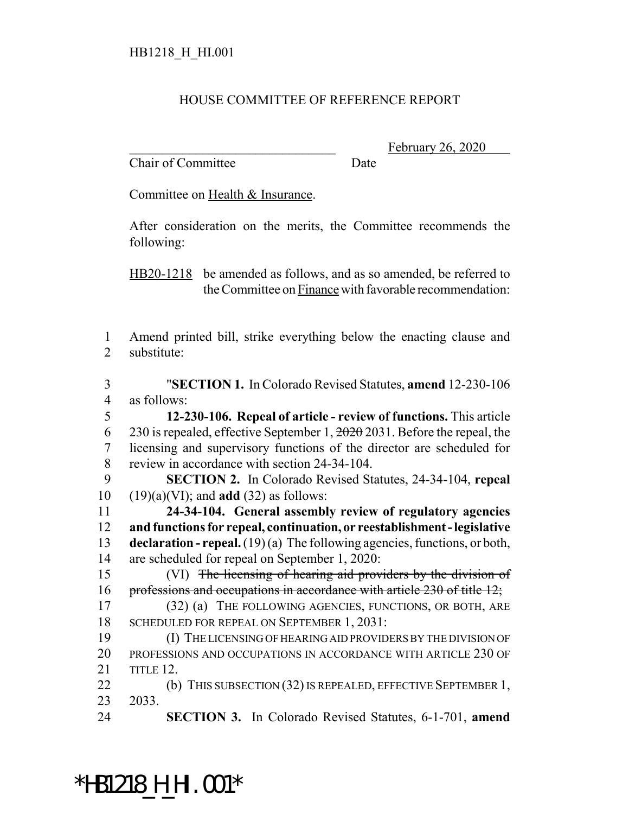#### HOUSE COMMITTEE OF REFERENCE REPORT

Chair of Committee Date

February 26, 2020

Committee on Health & Insurance.

After consideration on the merits, the Committee recommends the following:

HB20-1218 be amended as follows, and as so amended, be referred to the Committee on Finance with favorable recommendation:

 Amend printed bill, strike everything below the enacting clause and substitute:

 "**SECTION 1.** In Colorado Revised Statutes, **amend** 12-230-106 as follows: **12-230-106. Repeal of article - review of functions.** This article

6 230 is repealed, effective September 1,  $\frac{2020}{2031}$ . Before the repeal, the licensing and supervisory functions of the director are scheduled for review in accordance with section 24-34-104.

 **SECTION 2.** In Colorado Revised Statutes, 24-34-104, **repeal** (19)(a)(VI); and **add** (32) as follows:

 **24-34-104. General assembly review of regulatory agencies and functions for repeal, continuation, or reestablishment - legislative declaration - repeal.** (19) (a) The following agencies, functions, or both, are scheduled for repeal on September 1, 2020:

 (VI) The licensing of hearing aid providers by the division of 16 professions and occupations in accordance with article 230 of title 12;

 (32) (a) THE FOLLOWING AGENCIES, FUNCTIONS, OR BOTH, ARE SCHEDULED FOR REPEAL ON SEPTEMBER 1, 2031:

 (I) THE LICENSING OF HEARING AID PROVIDERS BY THE DIVISION OF PROFESSIONS AND OCCUPATIONS IN ACCORDANCE WITH ARTICLE 230 OF TITLE 12.

22 (b) THIS SUBSECTION (32) IS REPEALED, EFFECTIVE SEPTEMBER 1, 2033.

**SECTION 3.** In Colorado Revised Statutes, 6-1-701, **amend**

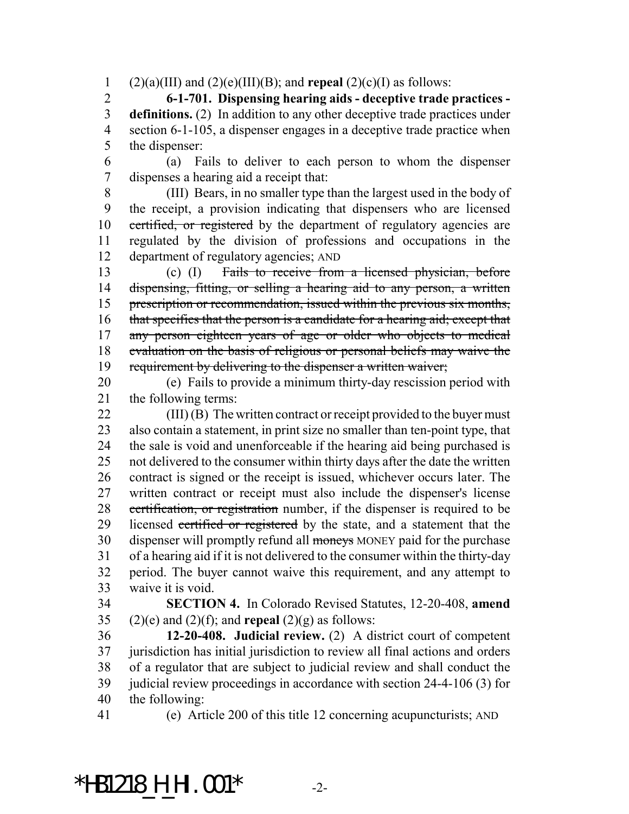1 (2)(a)(III) and (2)(e)(III)(B); and **repeal** (2)(c)(I) as follows:

 **6-1-701. Dispensing hearing aids - deceptive trade practices - definitions.** (2) In addition to any other deceptive trade practices under section 6-1-105, a dispenser engages in a deceptive trade practice when the dispenser:

 (a) Fails to deliver to each person to whom the dispenser dispenses a hearing aid a receipt that:

 (III) Bears, in no smaller type than the largest used in the body of the receipt, a provision indicating that dispensers who are licensed 10 certified, or registered by the department of regulatory agencies are regulated by the division of professions and occupations in the department of regulatory agencies; AND

 (c) (I) Fails to receive from a licensed physician, before 14 dispensing, fitting, or selling a hearing aid to any person, a written 15 prescription or recommendation, issued within the previous six months, 16 that specifies that the person is a candidate for a hearing aid; except that 17 any person eighteen years of age or older who objects to medical evaluation on the basis of religious or personal beliefs may waive the requirement by delivering to the dispenser a written waiver;

 (e) Fails to provide a minimum thirty-day rescission period with the following terms:

 (III) (B) The written contract or receipt provided to the buyer must also contain a statement, in print size no smaller than ten-point type, that the sale is void and unenforceable if the hearing aid being purchased is not delivered to the consumer within thirty days after the date the written contract is signed or the receipt is issued, whichever occurs later. The written contract or receipt must also include the dispenser's license 28 certification, or registration number, if the dispenser is required to be 29 licensed certified or registered by the state, and a statement that the 30 dispenser will promptly refund all moneys MONEY paid for the purchase of a hearing aid if it is not delivered to the consumer within the thirty-day period. The buyer cannot waive this requirement, and any attempt to waive it is void.

 **SECTION 4.** In Colorado Revised Statutes, 12-20-408, **amend** 35 (2)(e) and (2)(f); and **repeal** (2)(g) as follows:

 **12-20-408. Judicial review.** (2) A district court of competent jurisdiction has initial jurisdiction to review all final actions and orders of a regulator that are subject to judicial review and shall conduct the judicial review proceedings in accordance with section 24-4-106 (3) for the following:

(e) Article 200 of this title 12 concerning acupuncturists; AND

### \*HB1218\_H\_HI.001\* -2-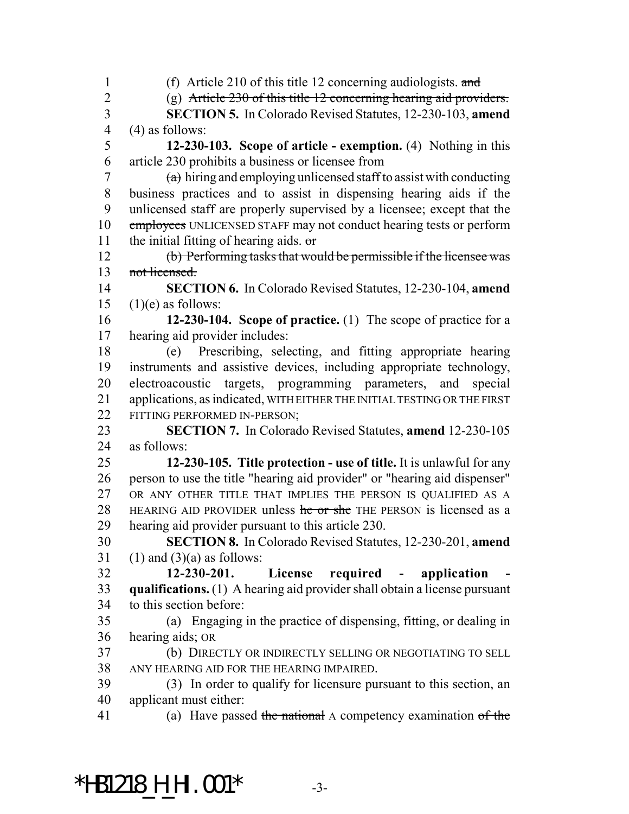(f) Article 210 of this title 12 concerning audiologists. and (g) Article 230 of this title 12 concerning hearing aid providers. **SECTION 5.** In Colorado Revised Statutes, 12-230-103, **amend** (4) as follows: **12-230-103. Scope of article - exemption.** (4) Nothing in this article 230 prohibits a business or licensee from  $7 \times$  (a) hiring and employing unlicensed staff to assist with conducting business practices and to assist in dispensing hearing aids if the unlicensed staff are properly supervised by a licensee; except that the 10 employees UNLICENSED STAFF may not conduct hearing tests or perform 11 the initial fitting of hearing aids.  $\sigma$  (b) Performing tasks that would be permissible if the licensee was not licensed. **SECTION 6.** In Colorado Revised Statutes, 12-230-104, **amend**  $(1)(e)$  as follows: **12-230-104. Scope of practice.** (1) The scope of practice for a hearing aid provider includes: (e) Prescribing, selecting, and fitting appropriate hearing instruments and assistive devices, including appropriate technology, electroacoustic targets, programming parameters, and special 21 applications, as indicated, WITH EITHER THE INITIAL TESTING OR THE FIRST FITTING PERFORMED IN-PERSON; **SECTION 7.** In Colorado Revised Statutes, **amend** 12-230-105 as follows: **12-230-105. Title protection - use of title.** It is unlawful for any person to use the title "hearing aid provider" or "hearing aid dispenser" OR ANY OTHER TITLE THAT IMPLIES THE PERSON IS QUALIFIED AS A 28 HEARING AID PROVIDER unless he or she THE PERSON is licensed as a hearing aid provider pursuant to this article 230. **SECTION 8.** In Colorado Revised Statutes, 12-230-201, **amend** 31 (1) and (3)(a) as follows: **12-230-201. License required - application - qualifications.** (1) A hearing aid provider shall obtain a license pursuant to this section before: (a) Engaging in the practice of dispensing, fitting, or dealing in hearing aids; OR (b) DIRECTLY OR INDIRECTLY SELLING OR NEGOTIATING TO SELL ANY HEARING AID FOR THE HEARING IMPAIRED. (3) In order to qualify for licensure pursuant to this section, an applicant must either: 41 (a) Have passed the national A competency examination of the

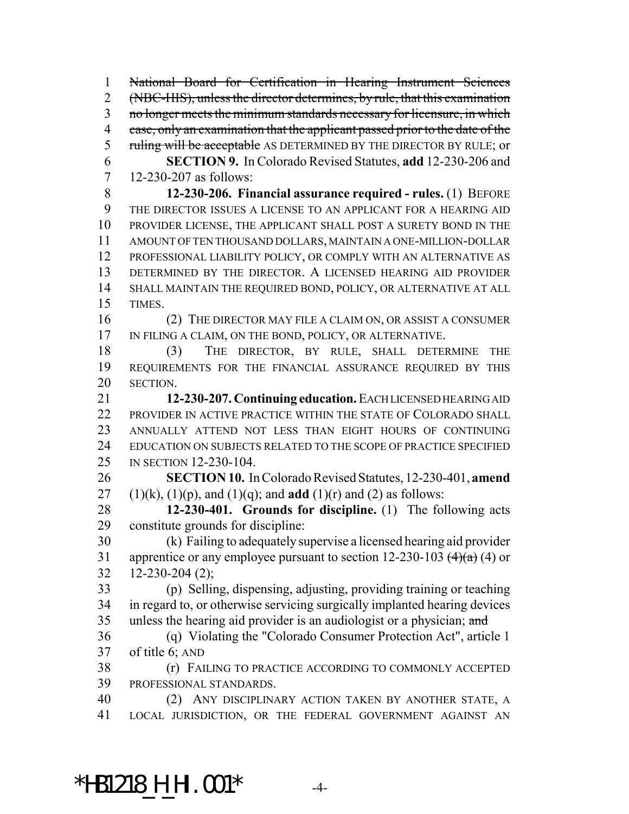National Board for Certification in Hearing Instrument Sciences (NBC-HIS), unless the director determines, by rule, that this examination 3 no longer meets the minimum standards necessary for licensure, in which 4 case, only an examination that the applicant passed prior to the date of the 5 ruling will be acceptable AS DETERMINED BY THE DIRECTOR BY RULE; or **SECTION 9.** In Colorado Revised Statutes, **add** 12-230-206 and 12-230-207 as follows: **12-230-206. Financial assurance required - rules.** (1) BEFORE THE DIRECTOR ISSUES A LICENSE TO AN APPLICANT FOR A HEARING AID PROVIDER LICENSE, THE APPLICANT SHALL POST A SURETY BOND IN THE AMOUNT OF TEN THOUSAND DOLLARS, MAINTAIN A ONE-MILLION-DOLLAR PROFESSIONAL LIABILITY POLICY, OR COMPLY WITH AN ALTERNATIVE AS DETERMINED BY THE DIRECTOR. A LICENSED HEARING AID PROVIDER SHALL MAINTAIN THE REQUIRED BOND, POLICY, OR ALTERNATIVE AT ALL TIMES. (2) THE DIRECTOR MAY FILE A CLAIM ON, OR ASSIST A CONSUMER IN FILING A CLAIM, ON THE BOND, POLICY, OR ALTERNATIVE. (3) THE DIRECTOR, BY RULE, SHALL DETERMINE THE REQUIREMENTS FOR THE FINANCIAL ASSURANCE REQUIRED BY THIS SECTION. **12-230-207. Continuing education.** EACH LICENSED HEARING AID PROVIDER IN ACTIVE PRACTICE WITHIN THE STATE OF COLORADO SHALL ANNUALLY ATTEND NOT LESS THAN EIGHT HOURS OF CONTINUING EDUCATION ON SUBJECTS RELATED TO THE SCOPE OF PRACTICE SPECIFIED IN SECTION 12-230-104. **SECTION 10.** In Colorado Revised Statutes, 12-230-401, **amend** 27 (1)(k), (1)(p), and (1)(q); and **add** (1)(r) and (2) as follows: **12-230-401. Grounds for discipline.** (1) The following acts constitute grounds for discipline: (k) Failing to adequately supervise a licensed hearing aid provider 31 apprentice or any employee pursuant to section 12-230-103  $(4)(a)$  (4) or  $32 \quad 12 - 230 - 204 \quad (2);$  (p) Selling, dispensing, adjusting, providing training or teaching in regard to, or otherwise servicing surgically implanted hearing devices 35 unless the hearing aid provider is an audiologist or a physician; and (q) Violating the "Colorado Consumer Protection Act", article 1 of title 6; AND (r) FAILING TO PRACTICE ACCORDING TO COMMONLY ACCEPTED PROFESSIONAL STANDARDS. (2) ANY DISCIPLINARY ACTION TAKEN BY ANOTHER STATE, A LOCAL JURISDICTION, OR THE FEDERAL GOVERNMENT AGAINST AN

# \*HB1218\_H\_HI.001\* -4-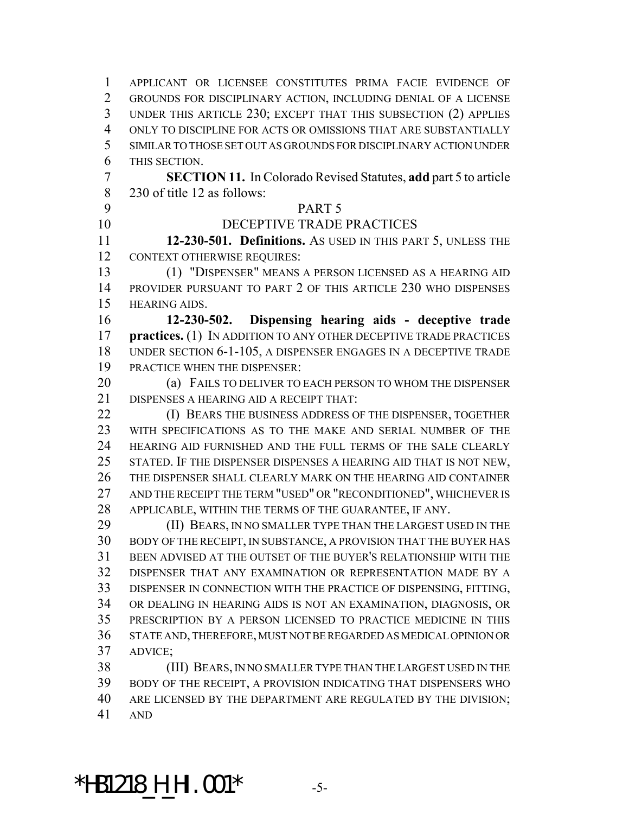APPLICANT OR LICENSEE CONSTITUTES PRIMA FACIE EVIDENCE OF GROUNDS FOR DISCIPLINARY ACTION, INCLUDING DENIAL OF A LICENSE UNDER THIS ARTICLE 230; EXCEPT THAT THIS SUBSECTION (2) APPLIES ONLY TO DISCIPLINE FOR ACTS OR OMISSIONS THAT ARE SUBSTANTIALLY SIMILAR TO THOSE SET OUT AS GROUNDS FOR DISCIPLINARY ACTION UNDER THIS SECTION. **SECTION 11.** In Colorado Revised Statutes, **add** part 5 to article 230 of title 12 as follows: PART 5 DECEPTIVE TRADE PRACTICES **12-230-501. Definitions.** AS USED IN THIS PART 5, UNLESS THE CONTEXT OTHERWISE REQUIRES: (1) "DISPENSER" MEANS A PERSON LICENSED AS A HEARING AID PROVIDER PURSUANT TO PART 2 OF THIS ARTICLE 230 WHO DISPENSES HEARING AIDS. **12-230-502. Dispensing hearing aids - deceptive trade practices.** (1) IN ADDITION TO ANY OTHER DECEPTIVE TRADE PRACTICES UNDER SECTION 6-1-105, A DISPENSER ENGAGES IN A DECEPTIVE TRADE PRACTICE WHEN THE DISPENSER: (a) FAILS TO DELIVER TO EACH PERSON TO WHOM THE DISPENSER DISPENSES A HEARING AID A RECEIPT THAT: **(I) BEARS THE BUSINESS ADDRESS OF THE DISPENSER, TOGETHER**  WITH SPECIFICATIONS AS TO THE MAKE AND SERIAL NUMBER OF THE HEARING AID FURNISHED AND THE FULL TERMS OF THE SALE CLEARLY STATED. IF THE DISPENSER DISPENSES A HEARING AID THAT IS NOT NEW, THE DISPENSER SHALL CLEARLY MARK ON THE HEARING AID CONTAINER AND THE RECEIPT THE TERM "USED" OR "RECONDITIONED", WHICHEVER IS APPLICABLE, WITHIN THE TERMS OF THE GUARANTEE, IF ANY. **(II) BEARS, IN NO SMALLER TYPE THAN THE LARGEST USED IN THE**  BODY OF THE RECEIPT, IN SUBSTANCE, A PROVISION THAT THE BUYER HAS BEEN ADVISED AT THE OUTSET OF THE BUYER'S RELATIONSHIP WITH THE DISPENSER THAT ANY EXAMINATION OR REPRESENTATION MADE BY A DISPENSER IN CONNECTION WITH THE PRACTICE OF DISPENSING, FITTING, OR DEALING IN HEARING AIDS IS NOT AN EXAMINATION, DIAGNOSIS, OR PRESCRIPTION BY A PERSON LICENSED TO PRACTICE MEDICINE IN THIS STATE AND, THEREFORE, MUST NOT BE REGARDED AS MEDICAL OPINION OR ADVICE; (III) BEARS, IN NO SMALLER TYPE THAN THE LARGEST USED IN THE BODY OF THE RECEIPT, A PROVISION INDICATING THAT DISPENSERS WHO ARE LICENSED BY THE DEPARTMENT ARE REGULATED BY THE DIVISION;

AND

\*HB1218\_H\_HI.001\* -5-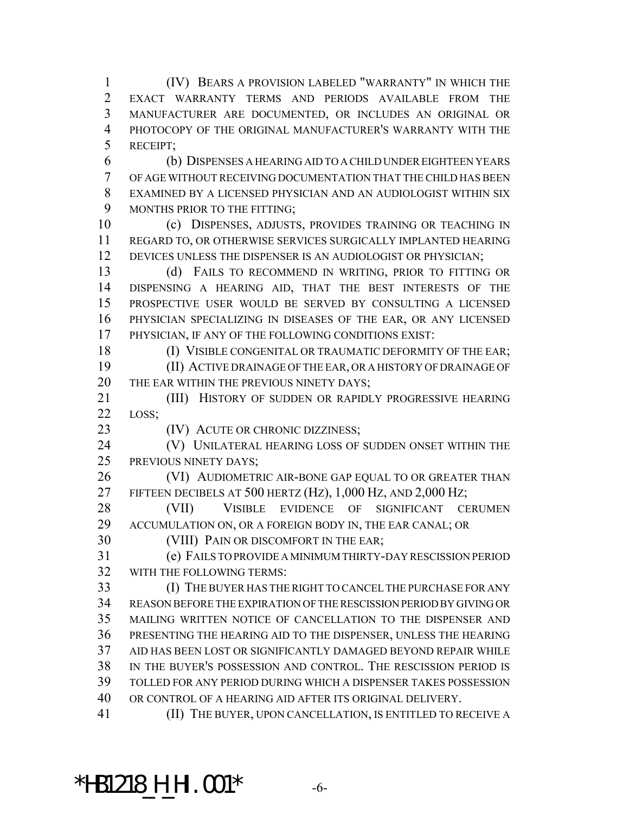(IV) BEARS A PROVISION LABELED "WARRANTY" IN WHICH THE EXACT WARRANTY TERMS AND PERIODS AVAILABLE FROM THE MANUFACTURER ARE DOCUMENTED, OR INCLUDES AN ORIGINAL OR PHOTOCOPY OF THE ORIGINAL MANUFACTURER'S WARRANTY WITH THE RECEIPT;

 (b) DISPENSES A HEARING AID TO A CHILD UNDER EIGHTEEN YEARS OF AGE WITHOUT RECEIVING DOCUMENTATION THAT THE CHILD HAS BEEN EXAMINED BY A LICENSED PHYSICIAN AND AN AUDIOLOGIST WITHIN SIX 9 MONTHS PRIOR TO THE FITTING;

 (c) DISPENSES, ADJUSTS, PROVIDES TRAINING OR TEACHING IN REGARD TO, OR OTHERWISE SERVICES SURGICALLY IMPLANTED HEARING DEVICES UNLESS THE DISPENSER IS AN AUDIOLOGIST OR PHYSICIAN;

13 (d) FAILS TO RECOMMEND IN WRITING, PRIOR TO FITTING OR DISPENSING A HEARING AID, THAT THE BEST INTERESTS OF THE PROSPECTIVE USER WOULD BE SERVED BY CONSULTING A LICENSED PHYSICIAN SPECIALIZING IN DISEASES OF THE EAR, OR ANY LICENSED PHYSICIAN, IF ANY OF THE FOLLOWING CONDITIONS EXIST:

18 (I) VISIBLE CONGENITAL OR TRAUMATIC DEFORMITY OF THE EAR; (II) ACTIVE DRAINAGE OF THE EAR, OR A HISTORY OF DRAINAGE OF 20 THE EAR WITHIN THE PREVIOUS NINETY DAYS;

21 (III) HISTORY OF SUDDEN OR RAPIDLY PROGRESSIVE HEARING LOSS;

**(IV) ACUTE OR CHRONIC DIZZINESS;** 

**(V) UNILATERAL HEARING LOSS OF SUDDEN ONSET WITHIN THE** PREVIOUS NINETY DAYS;

26 (VI) AUDIOMETRIC AIR-BONE GAP EQUAL TO OR GREATER THAN FIFTEEN DECIBELS AT 500 HERTZ (HZ), 1,000 HZ, AND 2,000 HZ;

 (VII) VISIBLE EVIDENCE OF SIGNIFICANT CERUMEN ACCUMULATION ON, OR A FOREIGN BODY IN, THE EAR CANAL; OR

(VIII) PAIN OR DISCOMFORT IN THE EAR;

 (e) FAILS TO PROVIDE A MINIMUM THIRTY-DAY RESCISSION PERIOD WITH THE FOLLOWING TERMS:

 (I) THE BUYER HAS THE RIGHT TO CANCEL THE PURCHASE FOR ANY REASON BEFORE THE EXPIRATION OF THE RESCISSION PERIOD BY GIVING OR MAILING WRITTEN NOTICE OF CANCELLATION TO THE DISPENSER AND PRESENTING THE HEARING AID TO THE DISPENSER, UNLESS THE HEARING AID HAS BEEN LOST OR SIGNIFICANTLY DAMAGED BEYOND REPAIR WHILE IN THE BUYER'S POSSESSION AND CONTROL. THE RESCISSION PERIOD IS TOLLED FOR ANY PERIOD DURING WHICH A DISPENSER TAKES POSSESSION OR CONTROL OF A HEARING AID AFTER ITS ORIGINAL DELIVERY. (II) THE BUYER, UPON CANCELLATION, IS ENTITLED TO RECEIVE A

# **\*HB1218\_H\_HI.001\***  $-6$ -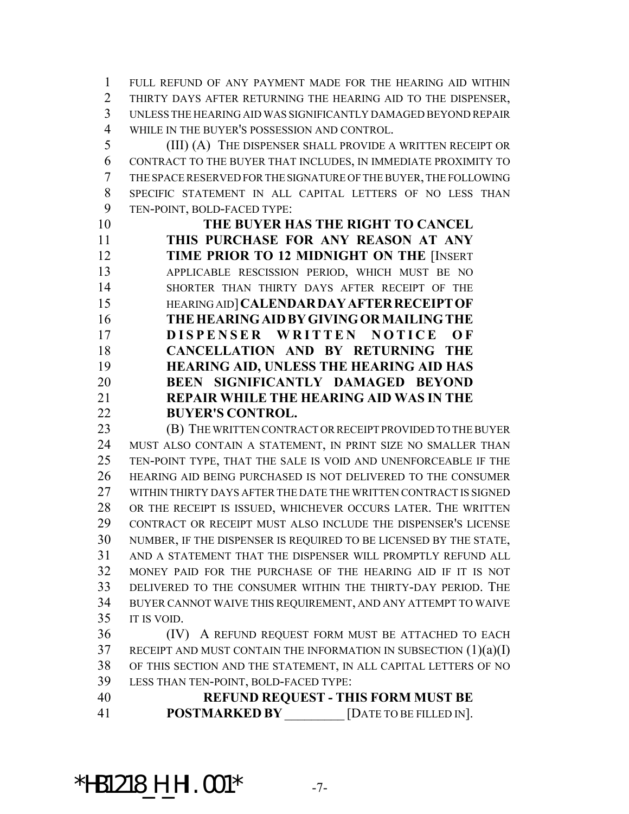FULL REFUND OF ANY PAYMENT MADE FOR THE HEARING AID WITHIN THIRTY DAYS AFTER RETURNING THE HEARING AID TO THE DISPENSER, UNLESS THE HEARING AID WAS SIGNIFICANTLY DAMAGED BEYOND REPAIR WHILE IN THE BUYER'S POSSESSION AND CONTROL.

 (III) (A) THE DISPENSER SHALL PROVIDE A WRITTEN RECEIPT OR CONTRACT TO THE BUYER THAT INCLUDES, IN IMMEDIATE PROXIMITY TO THE SPACE RESERVED FOR THE SIGNATURE OF THE BUYER, THE FOLLOWING SPECIFIC STATEMENT IN ALL CAPITAL LETTERS OF NO LESS THAN TEN-POINT, BOLD-FACED TYPE:

 **THE BUYER HAS THE RIGHT TO CANCEL THIS PURCHASE FOR ANY REASON AT ANY TIME PRIOR TO 12 MIDNIGHT ON THE** [INSERT APPLICABLE RESCISSION PERIOD, WHICH MUST BE NO SHORTER THAN THIRTY DAYS AFTER RECEIPT OF THE HEARING AID]**CALENDARDAYAFTERRECEIPTOF THEHEARINGAIDBYGIVINGORMAILINGTHE DISPENSER WRITTEN NOTICE O F CANCELLATION AND BY RETURNING THE HEARING AID, UNLESS THE HEARING AID HAS BEEN SIGNIFICANTLY DAMAGED BEYOND REPAIR WHILE THE HEARING AID WAS IN THE BUYER'S CONTROL.**

 (B) THE WRITTEN CONTRACT OR RECEIPT PROVIDED TO THE BUYER MUST ALSO CONTAIN A STATEMENT, IN PRINT SIZE NO SMALLER THAN TEN-POINT TYPE, THAT THE SALE IS VOID AND UNENFORCEABLE IF THE HEARING AID BEING PURCHASED IS NOT DELIVERED TO THE CONSUMER WITHIN THIRTY DAYS AFTER THE DATE THE WRITTEN CONTRACT IS SIGNED OR THE RECEIPT IS ISSUED, WHICHEVER OCCURS LATER. THE WRITTEN CONTRACT OR RECEIPT MUST ALSO INCLUDE THE DISPENSER'S LICENSE NUMBER, IF THE DISPENSER IS REQUIRED TO BE LICENSED BY THE STATE, AND A STATEMENT THAT THE DISPENSER WILL PROMPTLY REFUND ALL MONEY PAID FOR THE PURCHASE OF THE HEARING AID IF IT IS NOT DELIVERED TO THE CONSUMER WITHIN THE THIRTY-DAY PERIOD. THE BUYER CANNOT WAIVE THIS REQUIREMENT, AND ANY ATTEMPT TO WAIVE IT IS VOID.

 (IV) A REFUND REQUEST FORM MUST BE ATTACHED TO EACH RECEIPT AND MUST CONTAIN THE INFORMATION IN SUBSECTION (1)(a)(I) OF THIS SECTION AND THE STATEMENT, IN ALL CAPITAL LETTERS OF NO LESS THAN TEN-POINT, BOLD-FACED TYPE:

 **REFUND REQUEST - THIS FORM MUST BE POSTMARKED BY** \_\_\_\_\_\_\_\_\_ [DATE TO BE FILLED IN].

\*HB1218\_H\_HI.001\* -7-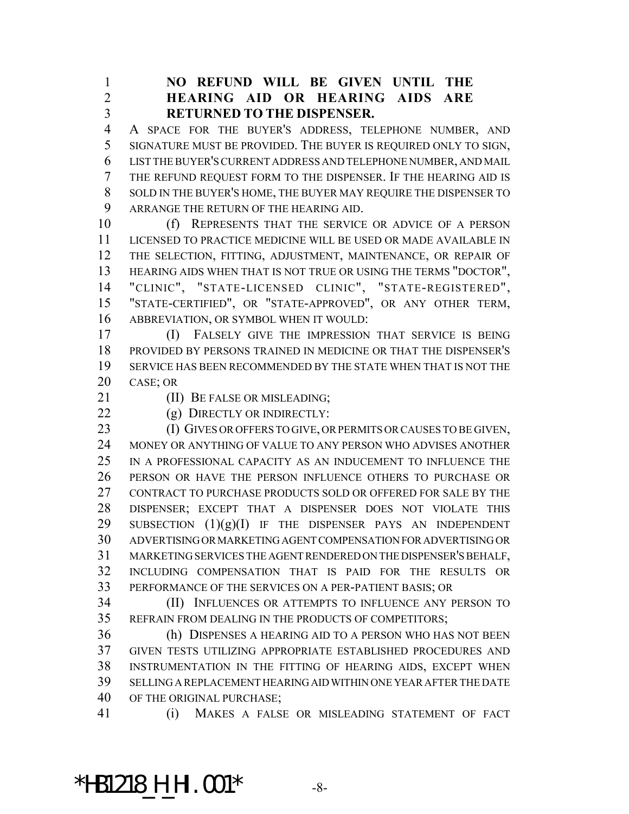**NO REFUND WILL BE GIVEN UNTIL THE HEARING AID OR HEARING AIDS ARE RETURNED TO THE DISPENSER.**

 A SPACE FOR THE BUYER'S ADDRESS, TELEPHONE NUMBER, AND SIGNATURE MUST BE PROVIDED. THE BUYER IS REQUIRED ONLY TO SIGN, LIST THE BUYER'S CURRENT ADDRESS AND TELEPHONE NUMBER, AND MAIL THE REFUND REQUEST FORM TO THE DISPENSER. IF THE HEARING AID IS SOLD IN THE BUYER'S HOME, THE BUYER MAY REQUIRE THE DISPENSER TO ARRANGE THE RETURN OF THE HEARING AID.

 (f) REPRESENTS THAT THE SERVICE OR ADVICE OF A PERSON LICENSED TO PRACTICE MEDICINE WILL BE USED OR MADE AVAILABLE IN THE SELECTION, FITTING, ADJUSTMENT, MAINTENANCE, OR REPAIR OF HEARING AIDS WHEN THAT IS NOT TRUE OR USING THE TERMS "DOCTOR", "CLINIC", "STATE-LICENSED CLINIC", "STATE-REGISTERED", "STATE-CERTIFIED", OR "STATE-APPROVED", OR ANY OTHER TERM, ABBREVIATION, OR SYMBOL WHEN IT WOULD:

 (I) FALSELY GIVE THE IMPRESSION THAT SERVICE IS BEING PROVIDED BY PERSONS TRAINED IN MEDICINE OR THAT THE DISPENSER'S SERVICE HAS BEEN RECOMMENDED BY THE STATE WHEN THAT IS NOT THE CASE; OR

**(II) BE FALSE OR MISLEADING;** 

22 (g) DIRECTLY OR INDIRECTLY:

23 (I) GIVES OR OFFERS TO GIVE, OR PERMITS OR CAUSES TO BE GIVEN, MONEY OR ANYTHING OF VALUE TO ANY PERSON WHO ADVISES ANOTHER IN A PROFESSIONAL CAPACITY AS AN INDUCEMENT TO INFLUENCE THE PERSON OR HAVE THE PERSON INFLUENCE OTHERS TO PURCHASE OR CONTRACT TO PURCHASE PRODUCTS SOLD OR OFFERED FOR SALE BY THE DISPENSER; EXCEPT THAT A DISPENSER DOES NOT VIOLATE THIS 29 SUBSECTION  $(1)(g)(I)$  IF THE DISPENSER PAYS AN INDEPENDENT ADVERTISING OR MARKETING AGENT COMPENSATION FOR ADVERTISING OR MARKETING SERVICES THE AGENT RENDERED ON THE DISPENSER'S BEHALF, INCLUDING COMPENSATION THAT IS PAID FOR THE RESULTS OR PERFORMANCE OF THE SERVICES ON A PER-PATIENT BASIS; OR

 (II) INFLUENCES OR ATTEMPTS TO INFLUENCE ANY PERSON TO REFRAIN FROM DEALING IN THE PRODUCTS OF COMPETITORS;

 (h) DISPENSES A HEARING AID TO A PERSON WHO HAS NOT BEEN GIVEN TESTS UTILIZING APPROPRIATE ESTABLISHED PROCEDURES AND INSTRUMENTATION IN THE FITTING OF HEARING AIDS, EXCEPT WHEN SELLING A REPLACEMENT HEARING AID WITHIN ONE YEAR AFTER THE DATE OF THE ORIGINAL PURCHASE;

(i) MAKES A FALSE OR MISLEADING STATEMENT OF FACT

#### \*HB1218\_H\_HI.001\* -8-